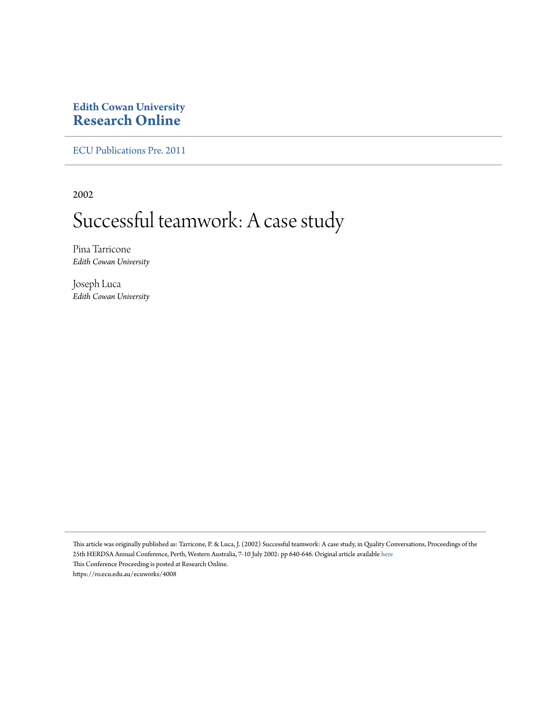### **Edith Cowan University [Research Online](https://ro.ecu.edu.au)**

[ECU Publications Pre. 2011](https://ro.ecu.edu.au/ecuworks)

2002

# Successful teamwork: A case study

Pina Tarricone *Edith Cowan University*

Joseph Luca *Edith Cowan University*

This article was originally published as: Tarricone, P. & Luca, J. (2002) Successful teamwork: A case study, in Quality Conversations, Proceedings of the 25th HERDSA Annual Conference, Perth, Western Australia, 7-10 July 2002: pp 640-646. Original article available [here](http://www.herdsa.org.au) This Conference Proceeding is posted at Research Online. https://ro.ecu.edu.au/ecuworks/4008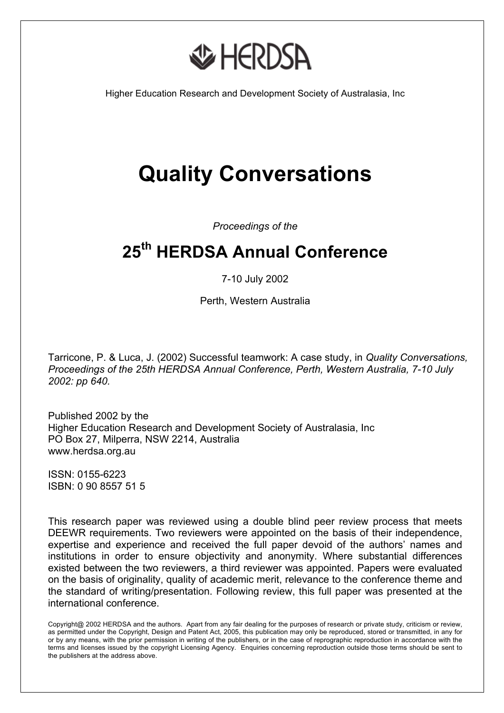

Higher Education Research and Development Society of Australasia, Inc

# **Quality Conversations**

*Proceedings of the* 

## **25th HERDSA Annual Conference**

7-10 July 2002

Perth, Western Australia

Tarricone, P. & Luca, J. (2002) Successful teamwork: A case study, in *Quality Conversations, Proceedings of the 25th HERDSA Annual Conference, Perth, Western Australia, 7-10 July 2002: pp 640.*

Published 2002 by the Higher Education Research and Development Society of Australasia, Inc PO Box 27, Milperra, NSW 2214, Australia www.herdsa.org.au

ISSN: 0155-6223 ISBN: 0 90 8557 51 5

This research paper was reviewed using a double blind peer review process that meets DEEWR requirements. Two reviewers were appointed on the basis of their independence, expertise and experience and received the full paper devoid of the authors' names and institutions in order to ensure objectivity and anonymity. Where substantial differences existed between the two reviewers, a third reviewer was appointed. Papers were evaluated on the basis of originality, quality of academic merit, relevance to the conference theme and the standard of writing/presentation. Following review, this full paper was presented at the international conference.

Copyright@ 2002 HERDSA and the authors. Apart from any fair dealing for the purposes of research or private study, criticism or review, as permitted under the Copyright, Design and Patent Act, 2005, this publication may only be reproduced, stored or transmitted, in any for or by any means, with the prior permission in writing of the publishers, or in the case of reprographic reproduction in accordance with the terms and licenses issued by the copyright Licensing Agency. Enquiries concerning reproduction outside those terms should be sent to the publishers at the address above.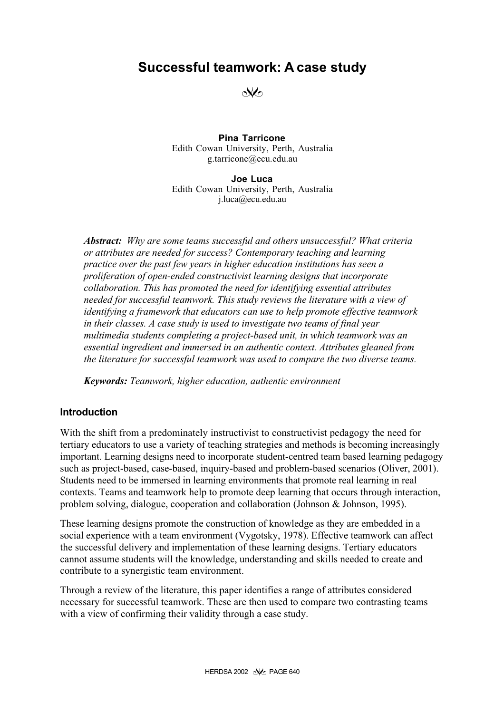## **Successful teamwork: A case study**

✝✝✝✝✝✝✝✝✝✝✝✝✬✭✝✝✝✝✝✝✝✝✝✝✝✝

**Pina Tarricone** Edith Cowan University, Perth, Australia g.tarricone@ecu.edu.au

**Joe Luca** Edith Cowan University, Perth, Australia j.luca@ecu.edu.au

*Abstract: Why are some teams successful and others unsuccessful? What criteria or attributes are needed for success? Contemporary teaching and learning practice over the past few years in higher education institutions has seen a proliferation of open-ended constructivist learning designs that incorporate collaboration. This has promoted the need for identifying essential attributes needed for successful teamwork. This study reviews the literature with a view of identifying a framework that educators can use to help promote effective teamwork in their classes. A case study is used to investigate two teams of final year multimedia students completing a project-based unit, in which teamwork was an essential ingredient and immersed in an authentic context. Attributes gleaned from the literature for successful teamwork was used to compare the two diverse teams.*

*Keywords: Teamwork, higher education, authentic environment*

#### **Introduction**

With the shift from a predominately instructivist to constructivist pedagogy the need for tertiary educators to use a variety of teaching strategies and methods is becoming increasingly important. Learning designs need to incorporate student-centred team based learning pedagogy such as project-based, case-based, inquiry-based and problem-based scenarios (Oliver, 2001). Students need to be immersed in learning environments that promote real learning in real contexts. Teams and teamwork help to promote deep learning that occurs through interaction, problem solving, dialogue, cooperation and collaboration (Johnson & Johnson, 1995).

These learning designs promote the construction of knowledge as they are embedded in a social experience with a team environment (Vygotsky, 1978). Effective teamwork can affect the successful delivery and implementation of these learning designs. Tertiary educators cannot assume students will the knowledge, understanding and skills needed to create and contribute to a synergistic team environment.

Through a review of the literature, this paper identifies a range of attributes considered necessary for successful teamwork. These are then used to compare two contrasting teams with a view of confirming their validity through a case study.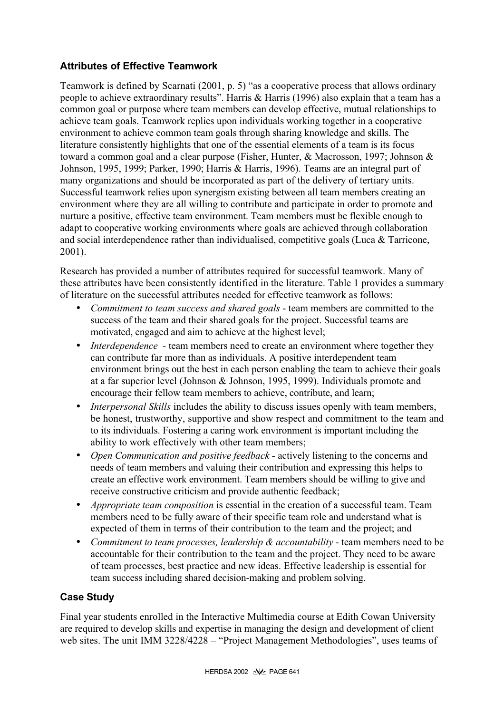#### **Attributes of Effective Teamwork**

Teamwork is defined by Scarnati (2001, p. 5) "as a cooperative process that allows ordinary people to achieve extraordinary results". Harris & Harris (1996) also explain that a team has a common goal or purpose where team members can develop effective, mutual relationships to achieve team goals. Teamwork replies upon individuals working together in a cooperative environment to achieve common team goals through sharing knowledge and skills. The literature consistently highlights that one of the essential elements of a team is its focus toward a common goal and a clear purpose (Fisher, Hunter, & Macrosson, 1997; Johnson & Johnson, 1995, 1999; Parker, 1990; Harris & Harris, 1996). Teams are an integral part of many organizations and should be incorporated as part of the delivery of tertiary units. Successful teamwork relies upon synergism existing between all team members creating an environment where they are all willing to contribute and participate in order to promote and nurture a positive, effective team environment. Team members must be flexible enough to adapt to cooperative working environments where goals are achieved through collaboration and social interdependence rather than individualised, competitive goals (Luca & Tarricone, 2001).

Research has provided a number of attributes required for successful teamwork. Many of these attributes have been consistently identified in the literature. Table 1 provides a summary of literature on the successful attributes needed for effective teamwork as follows:

- *Commitment to team success and shared goals*  team members are committed to the success of the team and their shared goals for the project. Successful teams are motivated, engaged and aim to achieve at the highest level;
- *Interdependence* team members need to create an environment where together they can contribute far more than as individuals. A positive interdependent team environment brings out the best in each person enabling the team to achieve their goals at a far superior level (Johnson & Johnson, 1995, 1999). Individuals promote and encourage their fellow team members to achieve, contribute, and learn;
- *Interpersonal Skills* includes the ability to discuss issues openly with team members, be honest, trustworthy, supportive and show respect and commitment to the team and to its individuals. Fostering a caring work environment is important including the ability to work effectively with other team members;
- *Open Communication and positive feedback -* actively listening to the concerns and needs of team members and valuing their contribution and expressing this helps to create an effective work environment. Team members should be willing to give and receive constructive criticism and provide authentic feedback;
- *Appropriate team composition* is essential in the creation of a successful team. Team members need to be fully aware of their specific team role and understand what is expected of them in terms of their contribution to the team and the project; and
- *Commitment to team processes, leadership & accountability* team members need to be accountable for their contribution to the team and the project. They need to be aware of team processes, best practice and new ideas. Effective leadership is essential for team success including shared decision-making and problem solving.

#### **Case Study**

Final year students enrolled in the Interactive Multimedia course at Edith Cowan University are required to develop skills and expertise in managing the design and development of client web sites. The unit IMM 3228/4228 – "Project Management Methodologies", uses teams of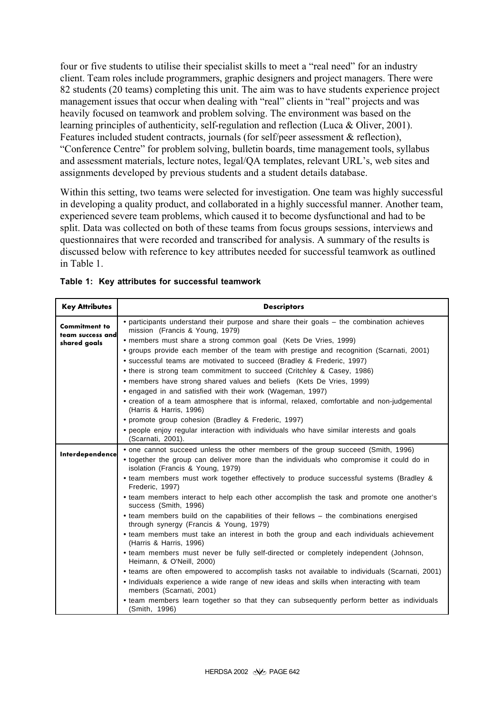four or five students to utilise their specialist skills to meet a "real need" for an industry client. Team roles include programmers, graphic designers and project managers. There were 82 students (20 teams) completing this unit. The aim was to have students experience project management issues that occur when dealing with "real" clients in "real" projects and was heavily focused on teamwork and problem solving. The environment was based on the learning principles of authenticity, self-regulation and reflection (Luca & Oliver, 2001). Features included student contracts, journals (for self/peer assessment & reflection), "Conference Centre" for problem solving, bulletin boards, time management tools, syllabus and assessment materials, lecture notes, legal/QA templates, relevant URL's, web sites and assignments developed by previous students and a student details database.

Within this setting, two teams were selected for investigation. One team was highly successful in developing a quality product, and collaborated in a highly successful manner. Another team, experienced severe team problems, which caused it to become dysfunctional and had to be split. Data was collected on both of these teams from focus groups sessions, interviews and questionnaires that were recorded and transcribed for analysis. A summary of the results is discussed below with reference to key attributes needed for successful teamwork as outlined in Table 1.

| <b>Key Attributes</b>                                    | <b>Descriptors</b>                                                                                                                |
|----------------------------------------------------------|-----------------------------------------------------------------------------------------------------------------------------------|
| <b>Commitment to</b><br>team success and<br>shared goals | • participants understand their purpose and share their goals – the combination achieves<br>mission (Francis & Young, 1979)       |
|                                                          | • members must share a strong common goal (Kets De Vries, 1999)                                                                   |
|                                                          | • groups provide each member of the team with prestige and recognition (Scarnati, 2001)                                           |
|                                                          | • successful teams are motivated to succeed (Bradley & Frederic, 1997)                                                            |
|                                                          | • there is strong team commitment to succeed (Critchley & Casey, 1986)                                                            |
|                                                          | • members have strong shared values and beliefs (Kets De Vries, 1999)                                                             |
|                                                          | • engaged in and satisfied with their work (Wageman, 1997)                                                                        |
|                                                          | • creation of a team atmosphere that is informal, relaxed, comfortable and non-judgemental<br>(Harris & Harris, 1996)             |
|                                                          | • promote group cohesion (Bradley & Frederic, 1997)                                                                               |
|                                                          | • people enjoy regular interaction with individuals who have similar interests and goals<br>(Scarnati, 2001).                     |
| Interdependence                                          | • one cannot succeed unless the other members of the group succeed (Smith, 1996)                                                  |
|                                                          | • together the group can deliver more than the individuals who compromise it could do in<br>isolation (Francis & Young, 1979)     |
|                                                          | • team members must work together effectively to produce successful systems (Bradley &<br>Frederic, 1997)                         |
|                                                          | • team members interact to help each other accomplish the task and promote one another's<br>success (Smith, 1996)                 |
|                                                          | • team members build on the capabilities of their fellows - the combinations energised<br>through synergy (Francis & Young, 1979) |
|                                                          | • team members must take an interest in both the group and each individuals achievement<br>(Harris & Harris, 1996)                |
|                                                          | • team members must never be fully self-directed or completely independent (Johnson,<br>Heimann, & O'Neill, 2000)                 |
|                                                          | • teams are often empowered to accomplish tasks not available to individuals (Scarnati, 2001)                                     |
|                                                          | • Individuals experience a wide range of new ideas and skills when interacting with team<br>members (Scarnati, 2001)              |
|                                                          | • team members learn together so that they can subsequently perform better as individuals<br>(Smith, 1996)                        |

| Table 1: Key attributes for successful teamwork |
|-------------------------------------------------|
|-------------------------------------------------|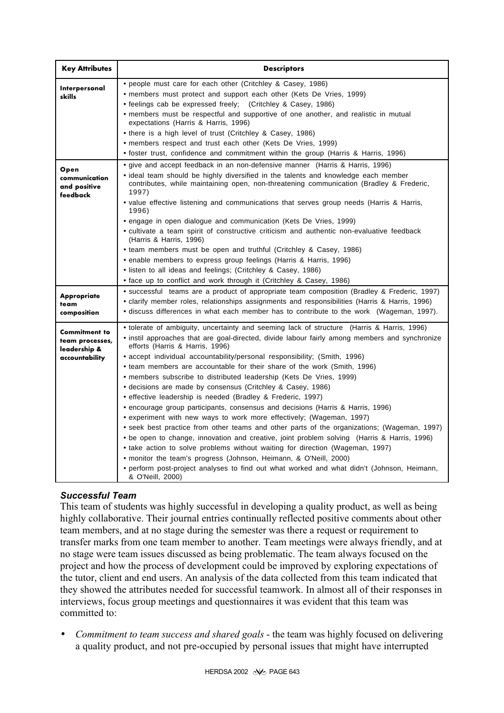| <b>Key Attributes</b>                                                     | <b>Descriptors</b>                                                                                                                                                                                                                                                                                                                                                                                                                                                                                                                                                                                                                                                                                                                                                                                                                                                                                                                                                                                                                                                                                                                                                                                                             |
|---------------------------------------------------------------------------|--------------------------------------------------------------------------------------------------------------------------------------------------------------------------------------------------------------------------------------------------------------------------------------------------------------------------------------------------------------------------------------------------------------------------------------------------------------------------------------------------------------------------------------------------------------------------------------------------------------------------------------------------------------------------------------------------------------------------------------------------------------------------------------------------------------------------------------------------------------------------------------------------------------------------------------------------------------------------------------------------------------------------------------------------------------------------------------------------------------------------------------------------------------------------------------------------------------------------------|
| Interpersonal<br>skills                                                   | • people must care for each other (Critchley & Casey, 1986)<br>• members must protect and support each other (Kets De Vries, 1999)<br>• feelings cab be expressed freely; (Critchley & Casey, 1986)<br>• members must be respectful and supportive of one another, and realistic in mutual<br>expectations (Harris & Harris, 1996)<br>• there is a high level of trust (Critchley & Casey, 1986)<br>• members respect and trust each other (Kets De Vries, 1999)<br>• foster trust, confidence and commitment within the group (Harris & Harris, 1996)                                                                                                                                                                                                                                                                                                                                                                                                                                                                                                                                                                                                                                                                         |
| Open<br>communication<br>and positive<br>feedback                         | • give and accept feedback in an non-defensive manner (Harris & Harris, 1996)<br>• ideal team should be highly diversified in the talents and knowledge each member<br>contributes, while maintaining open, non-threatening communication (Bradley & Frederic,<br>1997)<br>• value effective listening and communications that serves group needs (Harris & Harris,<br>1996)<br>• engage in open dialogue and communication (Kets De Vries, 1999)<br>• cultivate a team spirit of constructive criticism and authentic non-evaluative feedback<br>(Harris & Harris, 1996)<br>• team members must be open and truthful (Critchley & Casey, 1986)<br>• enable members to express group feelings (Harris & Harris, 1996)<br>• listen to all ideas and feelings; (Critchley & Casey, 1986)<br>• face up to conflict and work through it (Critchley & Casey, 1986)                                                                                                                                                                                                                                                                                                                                                                  |
| <b>Appropriate</b><br>team<br>composition                                 | • successful teams are a product of appropriate team composition (Bradley & Frederic, 1997)<br>• clarify member roles, relationships assignments and responsibilities (Harris & Harris, 1996)<br>• discuss differences in what each member has to contribute to the work (Wageman, 1997).                                                                                                                                                                                                                                                                                                                                                                                                                                                                                                                                                                                                                                                                                                                                                                                                                                                                                                                                      |
| <b>Commitment to</b><br>team processes,<br>leadership &<br>accountability | • tolerate of ambiguity, uncertainty and seeming lack of structure (Harris & Harris, 1996)<br>• instil approaches that are goal-directed, divide labour fairly among members and synchronize<br>efforts (Harris & Harris, 1996)<br>• accept individual accountability/personal responsibility; (Smith, 1996)<br>• team members are accountable for their share of the work (Smith, 1996)<br>• members subscribe to distributed leadership (Kets De Vries, 1999)<br>• decisions are made by consensus (Critchley & Casey, 1986)<br>• effective leadership is needed (Bradley & Frederic, 1997)<br>• encourage group participants, consensus and decisions (Harris & Harris, 1996)<br>• experiment with new ways to work more effectively; (Wageman, 1997)<br>• seek best practice from other teams and other parts of the organizations; (Wageman, 1997)<br>• be open to change, innovation and creative, joint problem solving (Harris & Harris, 1996)<br>• take action to solve problems without waiting for direction (Wageman, 1997)<br>• monitor the team's progress (Johnson, Heimann, & O'Neill, 2000)<br>• perform post-project analyses to find out what worked and what didn't (Johnson, Heimann,<br>& O'Neill, 2000) |

#### *Successful Team*

This team of students was highly successful in developing a quality product, as well as being highly collaborative. Their journal entries continually reflected positive comments about other team members, and at no stage during the semester was there a request or requirement to transfer marks from one team member to another. Team meetings were always friendly, and at no stage were team issues discussed as being problematic. The team always focused on the project and how the process of development could be improved by exploring expectations of the tutor, client and end users. An analysis of the data collected from this team indicated that they showed the attributes needed for successful teamwork. In almost all of their responses in interviews, focus group meetings and questionnaires it was evident that this team was committed to:

• *Commitment to team success and shared goals* - the team was highly focused on delivering a quality product, and not pre-occupied by personal issues that might have interrupted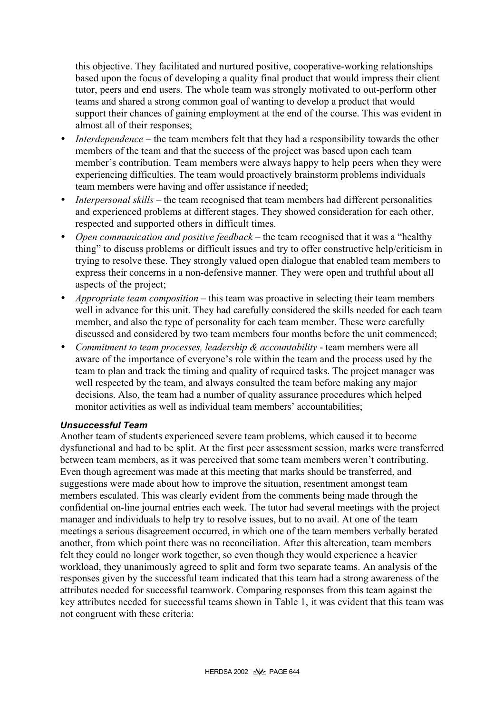this objective. They facilitated and nurtured positive, cooperative-working relationships based upon the focus of developing a quality final product that would impress their client tutor, peers and end users. The whole team was strongly motivated to out-perform other teams and shared a strong common goal of wanting to develop a product that would support their chances of gaining employment at the end of the course. This was evident in almost all of their responses;

- *Interdependence* the team members felt that they had a responsibility towards the other members of the team and that the success of the project was based upon each team member's contribution. Team members were always happy to help peers when they were experiencing difficulties. The team would proactively brainstorm problems individuals team members were having and offer assistance if needed;
- *Interpersonal skills* the team recognised that team members had different personalities and experienced problems at different stages. They showed consideration for each other, respected and supported others in difficult times.
- *Open communication and positive feedback* the team recognised that it was a "healthy" thing" to discuss problems or difficult issues and try to offer constructive help/criticism in trying to resolve these. They strongly valued open dialogue that enabled team members to express their concerns in a non-defensive manner. They were open and truthful about all aspects of the project;
- *Appropriate team composition* this team was proactive in selecting their team members well in advance for this unit. They had carefully considered the skills needed for each team member, and also the type of personality for each team member. These were carefully discussed and considered by two team members four months before the unit commenced;
- *Commitment to team processes, leadership & accountability* team members were all aware of the importance of everyone's role within the team and the process used by the team to plan and track the timing and quality of required tasks. The project manager was well respected by the team, and always consulted the team before making any major decisions. Also, the team had a number of quality assurance procedures which helped monitor activities as well as individual team members' accountabilities;

#### *Unsuccessful Team*

Another team of students experienced severe team problems, which caused it to become dysfunctional and had to be split. At the first peer assessment session, marks were transferred between team members, as it was perceived that some team members weren't contributing. Even though agreement was made at this meeting that marks should be transferred, and suggestions were made about how to improve the situation, resentment amongst team members escalated. This was clearly evident from the comments being made through the confidential on-line journal entries each week. The tutor had several meetings with the project manager and individuals to help try to resolve issues, but to no avail. At one of the team meetings a serious disagreement occurred, in which one of the team members verbally berated another, from which point there was no reconciliation. After this altercation, team members felt they could no longer work together, so even though they would experience a heavier workload, they unanimously agreed to split and form two separate teams. An analysis of the responses given by the successful team indicated that this team had a strong awareness of the attributes needed for successful teamwork. Comparing responses from this team against the key attributes needed for successful teams shown in Table 1, it was evident that this team was not congruent with these criteria: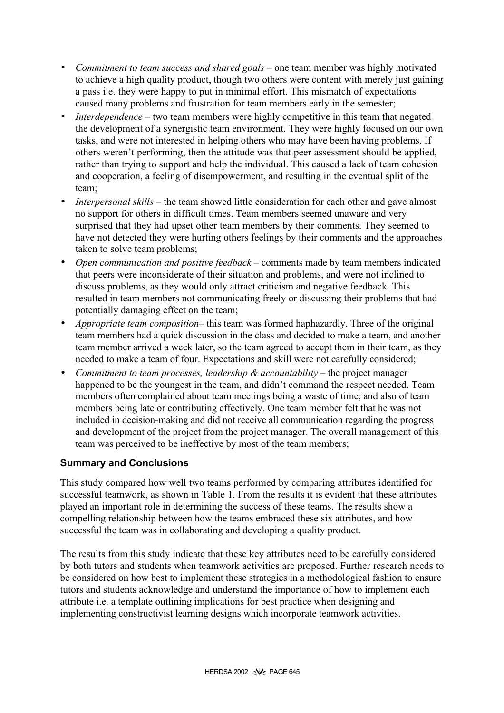- *Commitment to team success and shared goals* one team member was highly motivated to achieve a high quality product, though two others were content with merely just gaining a pass i.e. they were happy to put in minimal effort. This mismatch of expectations caused many problems and frustration for team members early in the semester;
- *Interdependence* two team members were highly competitive in this team that negated the development of a synergistic team environment. They were highly focused on our own tasks, and were not interested in helping others who may have been having problems. If others weren't performing, then the attitude was that peer assessment should be applied, rather than trying to support and help the individual. This caused a lack of team cohesion and cooperation, a feeling of disempowerment, and resulting in the eventual split of the team;
- *Interpersonal skills* the team showed little consideration for each other and gave almost no support for others in difficult times. Team members seemed unaware and very surprised that they had upset other team members by their comments. They seemed to have not detected they were hurting others feelings by their comments and the approaches taken to solve team problems;
- *Open communication and positive feedback* comments made by team members indicated that peers were inconsiderate of their situation and problems, and were not inclined to discuss problems, as they would only attract criticism and negative feedback. This resulted in team members not communicating freely or discussing their problems that had potentially damaging effect on the team;
- *Appropriate team composition* this team was formed haphazardly. Three of the original team members had a quick discussion in the class and decided to make a team, and another team member arrived a week later, so the team agreed to accept them in their team, as they needed to make a team of four. Expectations and skill were not carefully considered;
- *Commitment to team processes, leadership & accountability* the project manager happened to be the youngest in the team, and didn't command the respect needed. Team members often complained about team meetings being a waste of time, and also of team members being late or contributing effectively. One team member felt that he was not included in decision-making and did not receive all communication regarding the progress and development of the project from the project manager. The overall management of this team was perceived to be ineffective by most of the team members;

#### **Summary and Conclusions**

This study compared how well two teams performed by comparing attributes identified for successful teamwork, as shown in Table 1. From the results it is evident that these attributes played an important role in determining the success of these teams. The results show a compelling relationship between how the teams embraced these six attributes, and how successful the team was in collaborating and developing a quality product.

The results from this study indicate that these key attributes need to be carefully considered by both tutors and students when teamwork activities are proposed. Further research needs to be considered on how best to implement these strategies in a methodological fashion to ensure tutors and students acknowledge and understand the importance of how to implement each attribute i.e. a template outlining implications for best practice when designing and implementing constructivist learning designs which incorporate teamwork activities.